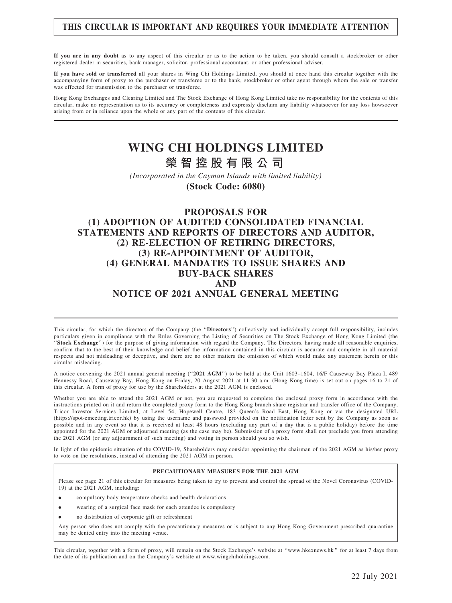## THIS CIRCULAR IS IMPORTANT AND REQUIRES YOUR IMMEDIATE ATTENTION

If you are in any doubt as to any aspect of this circular or as to the action to be taken, you should consult a stockbroker or other registered dealer in securities, bank manager, solicitor, professional accountant, or other professional adviser.

If you have sold or transferred all your shares in Wing Chi Holdings Limited, you should at once hand this circular together with the accompanying form of proxy to the purchaser or transferee or to the bank, stockbroker or other agent through whom the sale or transfer was effected for transmission to the purchaser or transferee.

Hong Kong Exchanges and Clearing Limited and The Stock Exchange of Hong Kong Limited take no responsibility for the contents of this circular, make no representation as to its accuracy or completeness and expressly disclaim any liability whatsoever for any loss howsoever arising from or in reliance upon the whole or any part of the contents of this circular.

# **WING CHI HOLDINGS LIMITED 榮 智 控 股 有 限 公 司**

*(Incorporated in the Cayman Islands with limited liability)*

**(Stock Code: 6080)**

### PROPOSALS FOR (1) ADOPTION OF AUDITED CONSOLIDATED FINANCIAL STATEMENTS AND REPORTS OF DIRECTORS AND AUDITOR, (2) RE-ELECTION OF RETIRING DIRECTORS, (3) RE-APPOINTMENT OF AUDITOR, (4) GENERAL MANDATES TO ISSUE SHARES AND BUY-BACK SHARES AND NOTICE OF 2021 ANNUAL GENERAL MEETING

This circular, for which the directors of the Company (the "Directors") collectively and individually accept full responsibility, includes particulars given in compliance with the Rules Governing the Listing of Securities on The Stock Exchange of Hong Kong Limited (the "Stock Exchange") for the purpose of giving information with regard the Company. The Directors, having made all reasonable enquiries, confirm that to the best of their knowledge and belief the information contained in this circular is accurate and complete in all material respects and not misleading or deceptive, and there are no other matters the omission of which would make any statement herein or this circular misleading.

A notice convening the 2021 annual general meeting (''2021 AGM'') to be held at the Unit 1603–1604, 16/F Causeway Bay Plaza I, 489 Hennessy Road, Causeway Bay, Hong Kong on Friday, 20 August 2021 at 11:30 a.m. (Hong Kong time) is set out on pages 16 to 21 of this circular. A form of proxy for use by the Shareholders at the 2021 AGM is enclosed.

Whether you are able to attend the 2021 AGM or not, you are requested to complete the enclosed proxy form in accordance with the instructions printed on it and return the completed proxy form to the Hong Kong branch share registrar and transfer office of the Company, Tricor Investor Services Limited, at Level 54, Hopewell Centre, 183 Queen's Road East, Hong Kong or via the designated URL (https://spot-emeeting.tricor.hk) by using the username and password provided on the notification letter sent by the Company as soon as possible and in any event so that it is received at least 48 hours (excluding any part of a day that is a public holiday) before the time appointed for the 2021 AGM or adjourned meeting (as the case may be). Submission of a proxy form shall not preclude you from attending the 2021 AGM (or any adjournment of such meeting) and voting in person should you so wish.

In light of the epidemic situation of the COVID-19, Shareholders may consider appointing the chairman of the 2021 AGM as his/her proxy to vote on the resolutions, instead of attending the 2021 AGM in person.

#### PRECAUTIONARY MEASURES FOR THE 2021 AGM

Please see page 21 of this circular for measures being taken to try to prevent and control the spread of the Novel Coronavirus (COVID-19) at the 2021 AGM, including:

- . compulsory body temperature checks and health declarations
- . wearing of a surgical face mask for each attendee is compulsory
- . no distribution of corporate gift or refreshment

Any person who does not comply with the precautionary measures or is subject to any Hong Kong Government prescribed quarantine may be denied entry into the meeting venue.

This circular, together with a form of proxy, will remain on the Stock Exchange's website at ''www.hkexnews.hk '' for at least 7 days from the date of its publication and on the Company's website at www.wingchiholdings.com.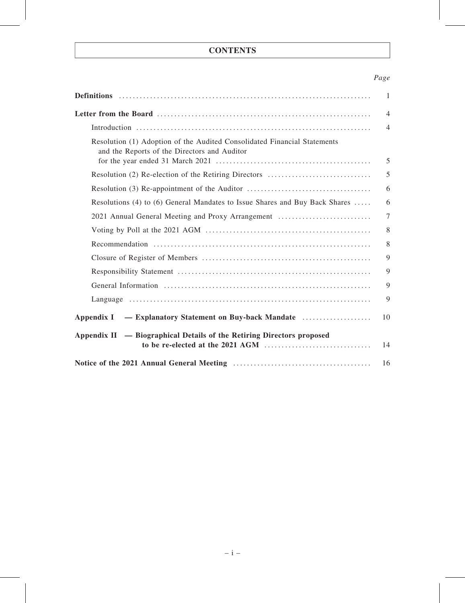# **CONTENTS**

# Page

|                                                                                                                          | 1              |
|--------------------------------------------------------------------------------------------------------------------------|----------------|
|                                                                                                                          | $\overline{4}$ |
|                                                                                                                          | $\overline{4}$ |
| Resolution (1) Adoption of the Audited Consolidated Financial Statements<br>and the Reports of the Directors and Auditor | 5              |
|                                                                                                                          | 5              |
|                                                                                                                          | 6              |
| Resolutions (4) to (6) General Mandates to Issue Shares and Buy Back Shares                                              | 6              |
| 2021 Annual General Meeting and Proxy Arrangement                                                                        | $\overline{7}$ |
|                                                                                                                          | 8              |
|                                                                                                                          | 8              |
|                                                                                                                          | 9              |
|                                                                                                                          | 9              |
|                                                                                                                          | 9              |
|                                                                                                                          | 9              |
| Appendix I — Explanatory Statement on Buy-back Mandate                                                                   | 10             |
| Appendix II — Biographical Details of the Retiring Directors proposed                                                    | 14             |
|                                                                                                                          | 16             |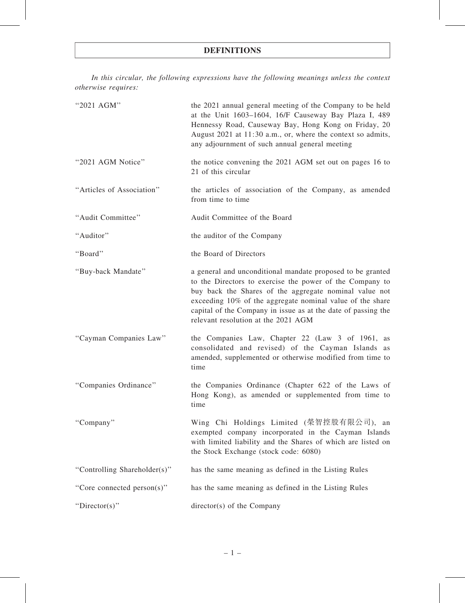# DEFINITIONS

In this circular, the following expressions have the following meanings unless the context otherwise requires:

| "2021 AGM"                   | the 2021 annual general meeting of the Company to be held<br>at the Unit 1603-1604, 16/F Causeway Bay Plaza I, 489<br>Hennessy Road, Causeway Bay, Hong Kong on Friday, 20<br>August 2021 at 11:30 a.m., or, where the context so admits,<br>any adjournment of such annual general meeting                                                           |
|------------------------------|-------------------------------------------------------------------------------------------------------------------------------------------------------------------------------------------------------------------------------------------------------------------------------------------------------------------------------------------------------|
| "2021 AGM Notice"            | the notice convening the 2021 AGM set out on pages 16 to<br>21 of this circular                                                                                                                                                                                                                                                                       |
| "Articles of Association"    | the articles of association of the Company, as amended<br>from time to time                                                                                                                                                                                                                                                                           |
| "Audit Committee"            | Audit Committee of the Board                                                                                                                                                                                                                                                                                                                          |
| "Auditor"                    | the auditor of the Company                                                                                                                                                                                                                                                                                                                            |
| "Board"                      | the Board of Directors                                                                                                                                                                                                                                                                                                                                |
| "Buy-back Mandate"           | a general and unconditional mandate proposed to be granted<br>to the Directors to exercise the power of the Company to<br>buy back the Shares of the aggregate nominal value not<br>exceeding 10% of the aggregate nominal value of the share<br>capital of the Company in issue as at the date of passing the<br>relevant resolution at the 2021 AGM |
| "Cayman Companies Law"       | the Companies Law, Chapter 22 (Law 3 of 1961, as<br>consolidated and revised) of the Cayman Islands as<br>amended, supplemented or otherwise modified from time to<br>time                                                                                                                                                                            |
| "Companies Ordinance"        | the Companies Ordinance (Chapter 622 of the Laws of<br>Hong Kong), as amended or supplemented from time to<br>time                                                                                                                                                                                                                                    |
| "Company"                    | Wing Chi Holdings Limited (榮智控股有限公司),<br>an<br>exempted company incorporated in the Cayman Islands<br>with limited liability and the Shares of which are listed on<br>the Stock Exchange (stock code: 6080)                                                                                                                                           |
| "Controlling Shareholder(s)" | has the same meaning as defined in the Listing Rules                                                                                                                                                                                                                                                                                                  |
| "Core connected person(s)"   | has the same meaning as defined in the Listing Rules                                                                                                                                                                                                                                                                                                  |
| " $Directory$ "              | director(s) of the Company                                                                                                                                                                                                                                                                                                                            |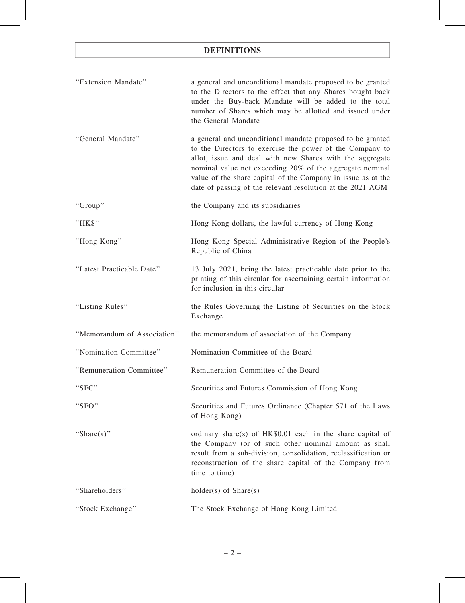# DEFINITIONS

| "Extension Mandate"         | a general and unconditional mandate proposed to be granted<br>to the Directors to the effect that any Shares bought back<br>under the Buy-back Mandate will be added to the total<br>number of Shares which may be allotted and issued under<br>the General Mandate                                                                                                          |
|-----------------------------|------------------------------------------------------------------------------------------------------------------------------------------------------------------------------------------------------------------------------------------------------------------------------------------------------------------------------------------------------------------------------|
| "General Mandate"           | a general and unconditional mandate proposed to be granted<br>to the Directors to exercise the power of the Company to<br>allot, issue and deal with new Shares with the aggregate<br>nominal value not exceeding 20% of the aggregate nominal<br>value of the share capital of the Company in issue as at the<br>date of passing of the relevant resolution at the 2021 AGM |
| "Group"                     | the Company and its subsidiaries                                                                                                                                                                                                                                                                                                                                             |
| "HK\$"                      | Hong Kong dollars, the lawful currency of Hong Kong                                                                                                                                                                                                                                                                                                                          |
| "Hong Kong"                 | Hong Kong Special Administrative Region of the People's<br>Republic of China                                                                                                                                                                                                                                                                                                 |
| "Latest Practicable Date"   | 13 July 2021, being the latest practicable date prior to the<br>printing of this circular for ascertaining certain information<br>for inclusion in this circular                                                                                                                                                                                                             |
| "Listing Rules"             | the Rules Governing the Listing of Securities on the Stock<br>Exchange                                                                                                                                                                                                                                                                                                       |
| "Memorandum of Association" | the memorandum of association of the Company                                                                                                                                                                                                                                                                                                                                 |
| "Nomination Committee"      | Nomination Committee of the Board                                                                                                                                                                                                                                                                                                                                            |
| "Remuneration Committee"    | Remuneration Committee of the Board                                                                                                                                                                                                                                                                                                                                          |
| "SFC"                       | Securities and Futures Commission of Hong Kong                                                                                                                                                                                                                                                                                                                               |
| "SFO"                       | Securities and Futures Ordinance (Chapter 571 of the Laws<br>of Hong Kong)                                                                                                                                                                                                                                                                                                   |
| "Share(s)"                  | ordinary share(s) of HK\$0.01 each in the share capital of<br>the Company (or of such other nominal amount as shall<br>result from a sub-division, consolidation, reclassification or<br>reconstruction of the share capital of the Company from<br>time to time)                                                                                                            |
| "Shareholders"              | $holder(s)$ of $Share(s)$                                                                                                                                                                                                                                                                                                                                                    |
| "Stock Exchange"            | The Stock Exchange of Hong Kong Limited                                                                                                                                                                                                                                                                                                                                      |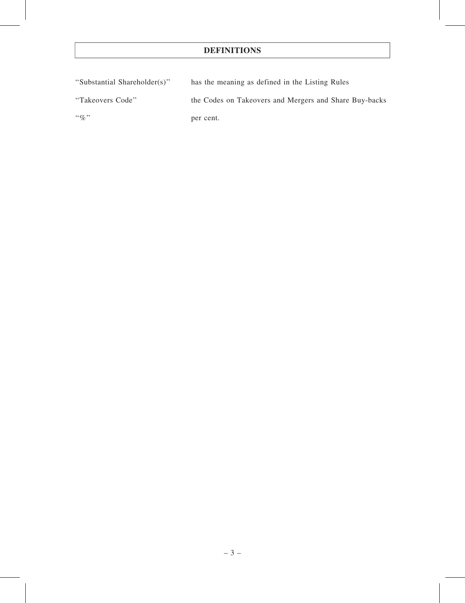# DEFINITIONS

| "Substantial Shareholder(s)" | has the meaning as defined in the Listing Rules        |
|------------------------------|--------------------------------------------------------|
| "Takeovers Code"             | the Codes on Takeovers and Mergers and Share Buy-backs |
| $\lq\lq q_0$ "               | per cent.                                              |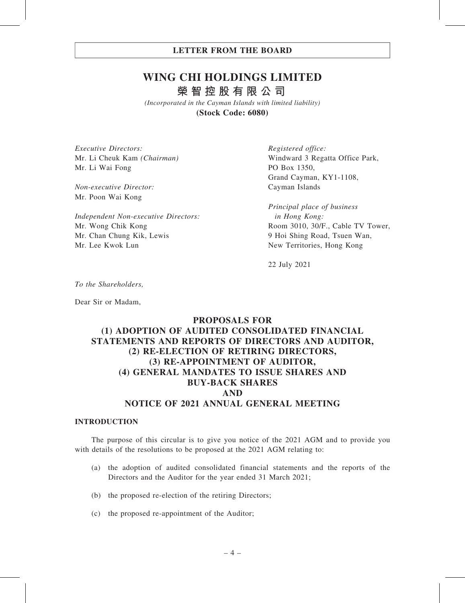# **WING CHI HOLDINGS LIMITED 榮智控股有限公司**

*(Incorporated in the Cayman Islands with limited liability)* **(Stock Code: 6080)**

Executive Directors: Mr. Li Cheuk Kam (Chairman) Mr. Li Wai Fong

Non-executive Director: Mr. Poon Wai Kong

Independent Non-executive Directors: Mr. Wong Chik Kong Mr. Chan Chung Kik, Lewis Mr. Lee Kwok Lun

Registered office: Windward 3 Regatta Office Park, PO Box 1350, Grand Cayman, KY1-1108, Cayman Islands

Principal place of business in Hong Kong: Room 3010, 30/F., Cable TV Tower, 9 Hoi Shing Road, Tsuen Wan, New Territories, Hong Kong

22 July 2021

To the Shareholders,

Dear Sir or Madam,

# PROPOSALS FOR (1) ADOPTION OF AUDITED CONSOLIDATED FINANCIAL STATEMENTS AND REPORTS OF DIRECTORS AND AUDITOR, (2) RE-ELECTION OF RETIRING DIRECTORS, (3) RE-APPOINTMENT OF AUDITOR, (4) GENERAL MANDATES TO ISSUE SHARES AND BUY-BACK SHARES AND NOTICE OF 2021 ANNUAL GENERAL MEETING

#### INTRODUCTION

The purpose of this circular is to give you notice of the 2021 AGM and to provide you with details of the resolutions to be proposed at the 2021 AGM relating to:

- (a) the adoption of audited consolidated financial statements and the reports of the Directors and the Auditor for the year ended 31 March 2021;
- (b) the proposed re-election of the retiring Directors;
- (c) the proposed re-appointment of the Auditor;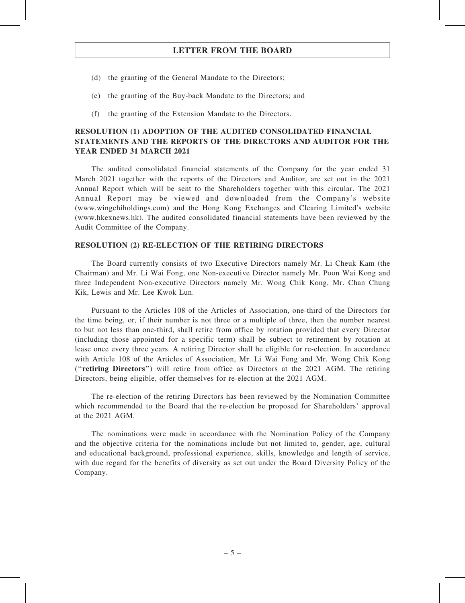- (d) the granting of the General Mandate to the Directors;
- (e) the granting of the Buy-back Mandate to the Directors; and
- (f) the granting of the Extension Mandate to the Directors.

### RESOLUTION (1) ADOPTION OF THE AUDITED CONSOLIDATED FINANCIAL STATEMENTS AND THE REPORTS OF THE DIRECTORS AND AUDITOR FOR THE YEAR ENDED 31 MARCH 2021

The audited consolidated financial statements of the Company for the year ended 31 March 2021 together with the reports of the Directors and Auditor, are set out in the 2021 Annual Report which will be sent to the Shareholders together with this circular. The 2021 Annual Report may be viewed and downloaded from the Company's website (www.wingchiholdings.com) and the Hong Kong Exchanges and Clearing Limited's website (www.hkexnews.hk). The audited consolidated financial statements have been reviewed by the Audit Committee of the Company.

#### RESOLUTION (2) RE-ELECTION OF THE RETIRING DIRECTORS

The Board currently consists of two Executive Directors namely Mr. Li Cheuk Kam (the Chairman) and Mr. Li Wai Fong, one Non-executive Director namely Mr. Poon Wai Kong and three Independent Non-executive Directors namely Mr. Wong Chik Kong, Mr. Chan Chung Kik, Lewis and Mr. Lee Kwok Lun.

Pursuant to the Articles 108 of the Articles of Association, one-third of the Directors for the time being, or, if their number is not three or a multiple of three, then the number nearest to but not less than one-third, shall retire from office by rotation provided that every Director (including those appointed for a specific term) shall be subject to retirement by rotation at lease once every three years. A retiring Director shall be eligible for re-election. In accordance with Article 108 of the Articles of Association, Mr. Li Wai Fong and Mr. Wong Chik Kong (''retiring Directors'') will retire from office as Directors at the 2021 AGM. The retiring Directors, being eligible, offer themselves for re-election at the 2021 AGM.

The re-election of the retiring Directors has been reviewed by the Nomination Committee which recommended to the Board that the re-election be proposed for Shareholders' approval at the 2021 AGM.

The nominations were made in accordance with the Nomination Policy of the Company and the objective criteria for the nominations include but not limited to, gender, age, cultural and educational background, professional experience, skills, knowledge and length of service, with due regard for the benefits of diversity as set out under the Board Diversity Policy of the Company.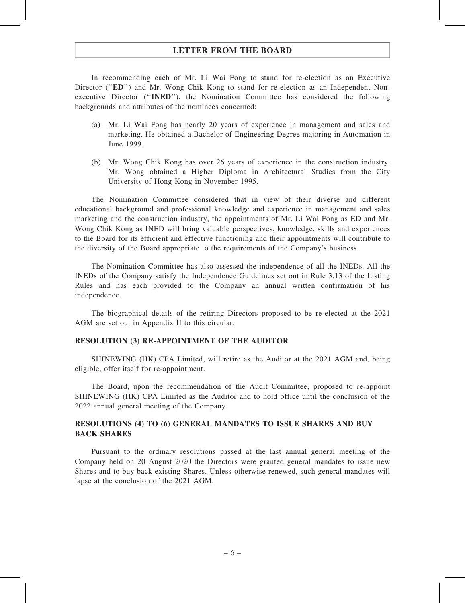In recommending each of Mr. Li Wai Fong to stand for re-election as an Executive Director ("ED") and Mr. Wong Chik Kong to stand for re-election as an Independent Nonexecutive Director (''INED''), the Nomination Committee has considered the following backgrounds and attributes of the nominees concerned:

- (a) Mr. Li Wai Fong has nearly 20 years of experience in management and sales and marketing. He obtained a Bachelor of Engineering Degree majoring in Automation in June 1999.
- (b) Mr. Wong Chik Kong has over 26 years of experience in the construction industry. Mr. Wong obtained a Higher Diploma in Architectural Studies from the City University of Hong Kong in November 1995.

The Nomination Committee considered that in view of their diverse and different educational background and professional knowledge and experience in management and sales marketing and the construction industry, the appointments of Mr. Li Wai Fong as ED and Mr. Wong Chik Kong as INED will bring valuable perspectives, knowledge, skills and experiences to the Board for its efficient and effective functioning and their appointments will contribute to the diversity of the Board appropriate to the requirements of the Company's business.

The Nomination Committee has also assessed the independence of all the INEDs. All the INEDs of the Company satisfy the Independence Guidelines set out in Rule 3.13 of the Listing Rules and has each provided to the Company an annual written confirmation of his independence.

The biographical details of the retiring Directors proposed to be re-elected at the 2021 AGM are set out in Appendix II to this circular.

#### RESOLUTION (3) RE-APPOINTMENT OF THE AUDITOR

SHINEWING (HK) CPA Limited, will retire as the Auditor at the 2021 AGM and, being eligible, offer itself for re-appointment.

The Board, upon the recommendation of the Audit Committee, proposed to re-appoint SHINEWING (HK) CPA Limited as the Auditor and to hold office until the conclusion of the 2022 annual general meeting of the Company.

### RESOLUTIONS (4) TO (6) GENERAL MANDATES TO ISSUE SHARES AND BUY BACK SHARES

Pursuant to the ordinary resolutions passed at the last annual general meeting of the Company held on 20 August 2020 the Directors were granted general mandates to issue new Shares and to buy back existing Shares. Unless otherwise renewed, such general mandates will lapse at the conclusion of the 2021 AGM.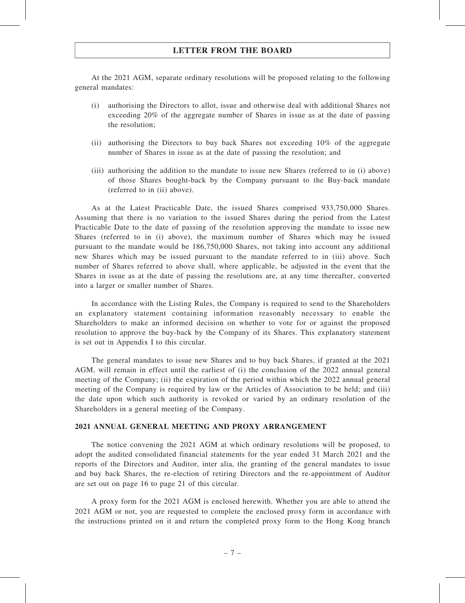At the 2021 AGM, separate ordinary resolutions will be proposed relating to the following general mandates:

- (i) authorising the Directors to allot, issue and otherwise deal with additional Shares not exceeding 20% of the aggregate number of Shares in issue as at the date of passing the resolution;
- (ii) authorising the Directors to buy back Shares not exceeding 10% of the aggregate number of Shares in issue as at the date of passing the resolution; and
- (iii) authorising the addition to the mandate to issue new Shares (referred to in (i) above) of those Shares bought-back by the Company pursuant to the Buy-back mandate (referred to in (ii) above).

As at the Latest Practicable Date, the issued Shares comprised 933,750,000 Shares. Assuming that there is no variation to the issued Shares during the period from the Latest Practicable Date to the date of passing of the resolution approving the mandate to issue new Shares (referred to in (i) above), the maximum number of Shares which may be issued pursuant to the mandate would be 186,750,000 Shares, not taking into account any additional new Shares which may be issued pursuant to the mandate referred to in (iii) above. Such number of Shares referred to above shall, where applicable, be adjusted in the event that the Shares in issue as at the date of passing the resolutions are, at any time thereafter, converted into a larger or smaller number of Shares.

In accordance with the Listing Rules, the Company is required to send to the Shareholders an explanatory statement containing information reasonably necessary to enable the Shareholders to make an informed decision on whether to vote for or against the proposed resolution to approve the buy-back by the Company of its Shares. This explanatory statement is set out in Appendix I to this circular.

The general mandates to issue new Shares and to buy back Shares, if granted at the 2021 AGM, will remain in effect until the earliest of (i) the conclusion of the 2022 annual general meeting of the Company; (ii) the expiration of the period within which the 2022 annual general meeting of the Company is required by law or the Articles of Association to be held; and (iii) the date upon which such authority is revoked or varied by an ordinary resolution of the Shareholders in a general meeting of the Company.

#### 2021 ANNUAL GENERAL MEETING AND PROXY ARRANGEMENT

The notice convening the 2021 AGM at which ordinary resolutions will be proposed, to adopt the audited consolidated financial statements for the year ended 31 March 2021 and the reports of the Directors and Auditor, inter alia, the granting of the general mandates to issue and buy back Shares, the re-election of retiring Directors and the re-appointment of Auditor are set out on page 16 to page 21 of this circular.

A proxy form for the 2021 AGM is enclosed herewith. Whether you are able to attend the 2021 AGM or not, you are requested to complete the enclosed proxy form in accordance with the instructions printed on it and return the completed proxy form to the Hong Kong branch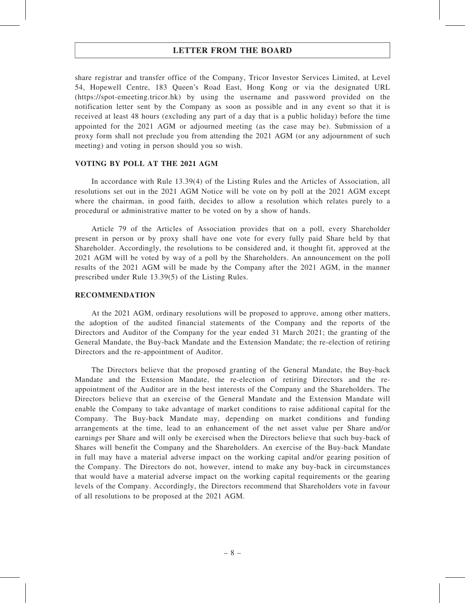share registrar and transfer office of the Company, Tricor Investor Services Limited, at Level 54, Hopewell Centre, 183 Queen's Road East, Hong Kong or via the designated URL (https://spot-emeeting.tricor.hk) by using the username and password provided on the notification letter sent by the Company as soon as possible and in any event so that it is received at least 48 hours (excluding any part of a day that is a public holiday) before the time appointed for the 2021 AGM or adjourned meeting (as the case may be). Submission of a proxy form shall not preclude you from attending the 2021 AGM (or any adjournment of such meeting) and voting in person should you so wish.

#### VOTING BY POLL AT THE 2021 AGM

In accordance with Rule 13.39(4) of the Listing Rules and the Articles of Association, all resolutions set out in the 2021 AGM Notice will be vote on by poll at the 2021 AGM except where the chairman, in good faith, decides to allow a resolution which relates purely to a procedural or administrative matter to be voted on by a show of hands.

Article 79 of the Articles of Association provides that on a poll, every Shareholder present in person or by proxy shall have one vote for every fully paid Share held by that Shareholder. Accordingly, the resolutions to be considered and, it thought fit, approved at the 2021 AGM will be voted by way of a poll by the Shareholders. An announcement on the poll results of the 2021 AGM will be made by the Company after the 2021 AGM, in the manner prescribed under Rule 13.39(5) of the Listing Rules.

#### RECOMMENDATION

At the 2021 AGM, ordinary resolutions will be proposed to approve, among other matters, the adoption of the audited financial statements of the Company and the reports of the Directors and Auditor of the Company for the year ended 31 March 2021; the granting of the General Mandate, the Buy-back Mandate and the Extension Mandate; the re-election of retiring Directors and the re-appointment of Auditor.

The Directors believe that the proposed granting of the General Mandate, the Buy-back Mandate and the Extension Mandate, the re-election of retiring Directors and the reappointment of the Auditor are in the best interests of the Company and the Shareholders. The Directors believe that an exercise of the General Mandate and the Extension Mandate will enable the Company to take advantage of market conditions to raise additional capital for the Company. The Buy-back Mandate may, depending on market conditions and funding arrangements at the time, lead to an enhancement of the net asset value per Share and/or earnings per Share and will only be exercised when the Directors believe that such buy-back of Shares will benefit the Company and the Shareholders. An exercise of the Buy-back Mandate in full may have a material adverse impact on the working capital and/or gearing position of the Company. The Directors do not, however, intend to make any buy-back in circumstances that would have a material adverse impact on the working capital requirements or the gearing levels of the Company. Accordingly, the Directors recommend that Shareholders vote in favour of all resolutions to be proposed at the 2021 AGM.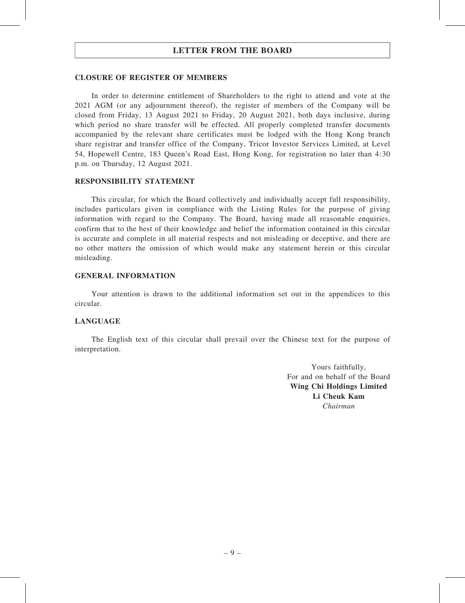#### CLOSURE OF REGISTER OF MEMBERS

In order to determine entitlement of Shareholders to the right to attend and vote at the 2021 AGM (or any adjournment thereof), the register of members of the Company will be closed from Friday, 13 August 2021 to Friday, 20 August 2021, both days inclusive, during which period no share transfer will be effected. All properly completed transfer documents accompanied by the relevant share certificates must be lodged with the Hong Kong branch share registrar and transfer office of the Company, Tricor Investor Services Limited, at Level 54, Hopewell Centre, 183 Queen's Road East, Hong Kong, for registration no later than 4:30 p.m. on Thursday, 12 August 2021.

#### RESPONSIBILITY STATEMENT

This circular, for which the Board collectively and individually accept full responsibility, includes particulars given in compliance with the Listing Rules for the purpose of giving information with regard to the Company. The Board, having made all reasonable enquiries, confirm that to the best of their knowledge and belief the information contained in this circular is accurate and complete in all material respects and not misleading or deceptive, and there are no other matters the omission of which would make any statement herein or this circular misleading.

#### GENERAL INFORMATION

Your attention is drawn to the additional information set out in the appendices to this circular.

#### LANGUAGE

The English text of this circular shall prevail over the Chinese text for the purpose of interpretation.

> Yours faithfully, For and on behalf of the Board Wing Chi Holdings Limited Li Cheuk Kam Chairman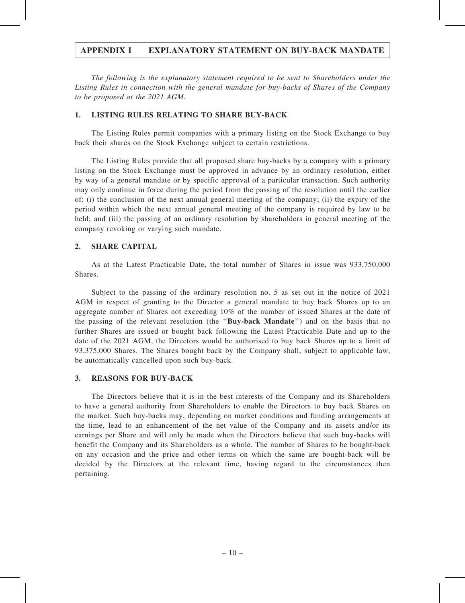The following is the explanatory statement required to be sent to Shareholders under the Listing Rules in connection with the general mandate for buy-backs of Shares of the Company to be proposed at the 2021 AGM.

#### 1. LISTING RULES RELATING TO SHARE BUY-BACK

The Listing Rules permit companies with a primary listing on the Stock Exchange to buy back their shares on the Stock Exchange subject to certain restrictions.

The Listing Rules provide that all proposed share buy-backs by a company with a primary listing on the Stock Exchange must be approved in advance by an ordinary resolution, either by way of a general mandate or by specific approval of a particular transaction. Such authority may only continue in force during the period from the passing of the resolution until the earlier of: (i) the conclusion of the next annual general meeting of the company; (ii) the expiry of the period within which the next annual general meeting of the company is required by law to be held; and (iii) the passing of an ordinary resolution by shareholders in general meeting of the company revoking or varying such mandate.

#### 2. SHARE CAPITAL

As at the Latest Practicable Date, the total number of Shares in issue was 933,750,000 **Shares**.

Subject to the passing of the ordinary resolution no. 5 as set out in the notice of 2021 AGM in respect of granting to the Director a general mandate to buy back Shares up to an aggregate number of Shares not exceeding 10% of the number of issued Shares at the date of the passing of the relevant resolution (the ''Buy-back Mandate'') and on the basis that no further Shares are issued or bought back following the Latest Practicable Date and up to the date of the 2021 AGM, the Directors would be authorised to buy back Shares up to a limit of 93,375,000 Shares. The Shares bought back by the Company shall, subject to applicable law, be automatically cancelled upon such buy-back.

#### 3. REASONS FOR BUY-BACK

The Directors believe that it is in the best interests of the Company and its Shareholders to have a general authority from Shareholders to enable the Directors to buy back Shares on the market. Such buy-backs may, depending on market conditions and funding arrangements at the time, lead to an enhancement of the net value of the Company and its assets and/or its earnings per Share and will only be made when the Directors believe that such buy-backs will benefit the Company and its Shareholders as a whole. The number of Shares to be bought-back on any occasion and the price and other terms on which the same are bought-back will be decided by the Directors at the relevant time, having regard to the circumstances then pertaining.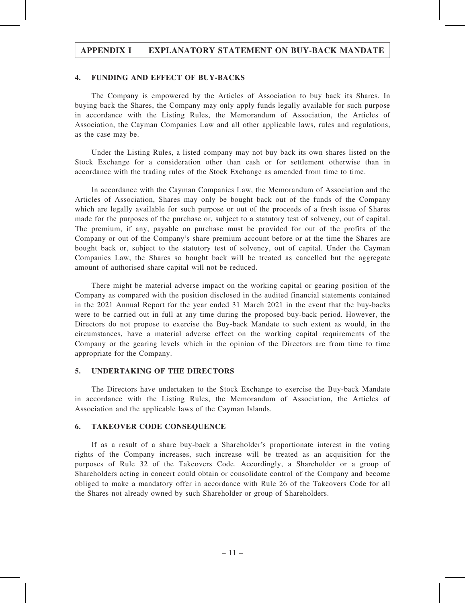#### 4. FUNDING AND EFFECT OF BUY-BACKS

The Company is empowered by the Articles of Association to buy back its Shares. In buying back the Shares, the Company may only apply funds legally available for such purpose in accordance with the Listing Rules, the Memorandum of Association, the Articles of Association, the Cayman Companies Law and all other applicable laws, rules and regulations, as the case may be.

Under the Listing Rules, a listed company may not buy back its own shares listed on the Stock Exchange for a consideration other than cash or for settlement otherwise than in accordance with the trading rules of the Stock Exchange as amended from time to time.

In accordance with the Cayman Companies Law, the Memorandum of Association and the Articles of Association, Shares may only be bought back out of the funds of the Company which are legally available for such purpose or out of the proceeds of a fresh issue of Shares made for the purposes of the purchase or, subject to a statutory test of solvency, out of capital. The premium, if any, payable on purchase must be provided for out of the profits of the Company or out of the Company's share premium account before or at the time the Shares are bought back or, subject to the statutory test of solvency, out of capital. Under the Cayman Companies Law, the Shares so bought back will be treated as cancelled but the aggregate amount of authorised share capital will not be reduced.

There might be material adverse impact on the working capital or gearing position of the Company as compared with the position disclosed in the audited financial statements contained in the 2021 Annual Report for the year ended 31 March 2021 in the event that the buy-backs were to be carried out in full at any time during the proposed buy-back period. However, the Directors do not propose to exercise the Buy-back Mandate to such extent as would, in the circumstances, have a material adverse effect on the working capital requirements of the Company or the gearing levels which in the opinion of the Directors are from time to time appropriate for the Company.

#### 5. UNDERTAKING OF THE DIRECTORS

The Directors have undertaken to the Stock Exchange to exercise the Buy-back Mandate in accordance with the Listing Rules, the Memorandum of Association, the Articles of Association and the applicable laws of the Cayman Islands.

#### 6. TAKEOVER CODE CONSEQUENCE

If as a result of a share buy-back a Shareholder's proportionate interest in the voting rights of the Company increases, such increase will be treated as an acquisition for the purposes of Rule 32 of the Takeovers Code. Accordingly, a Shareholder or a group of Shareholders acting in concert could obtain or consolidate control of the Company and become obliged to make a mandatory offer in accordance with Rule 26 of the Takeovers Code for all the Shares not already owned by such Shareholder or group of Shareholders.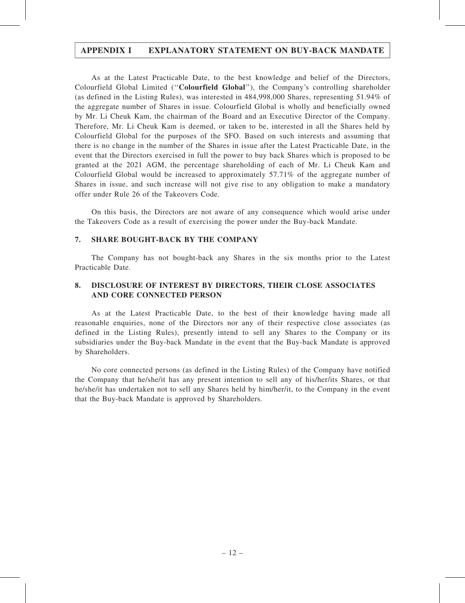As at the Latest Practicable Date, to the best knowledge and belief of the Directors, Colourfield Global Limited (''Colourfield Global''), the Company's controlling shareholder (as defined in the Listing Rules), was interested in 484,998,000 Shares, representing 51.94% of the aggregate number of Shares in issue. Colourfield Global is wholly and beneficially owned by Mr. Li Cheuk Kam, the chairman of the Board and an Executive Director of the Company. Therefore, Mr. Li Cheuk Kam is deemed, or taken to be, interested in all the Shares held by Colourfield Global for the purposes of the SFO. Based on such interests and assuming that there is no change in the number of the Shares in issue after the Latest Practicable Date, in the event that the Directors exercised in full the power to buy back Shares which is proposed to be granted at the 2021 AGM, the percentage shareholding of each of Mr. Li Cheuk Kam and Colourfield Global would be increased to approximately 57.71% of the aggregate number of Shares in issue, and such increase will not give rise to any obligation to make a mandatory offer under Rule 26 of the Takeovers Code.

On this basis, the Directors are not aware of any consequence which would arise under the Takeovers Code as a result of exercising the power under the Buy-back Mandate.

### 7. SHARE BOUGHT-BACK BY THE COMPANY

The Company has not bought-back any Shares in the six months prior to the Latest Practicable Date.

### 8. DISCLOSURE OF INTEREST BY DIRECTORS, THEIR CLOSE ASSOCIATES AND CORE CONNECTED PERSON

As at the Latest Practicable Date, to the best of their knowledge having made all reasonable enquiries, none of the Directors nor any of their respective close associates (as defined in the Listing Rules), presently intend to sell any Shares to the Company or its subsidiaries under the Buy-back Mandate in the event that the Buy-back Mandate is approved by Shareholders.

No core connected persons (as defined in the Listing Rules) of the Company have notified the Company that he/she/it has any present intention to sell any of his/her/its Shares, or that he/she/it has undertaken not to sell any Shares held by him/her/it, to the Company in the event that the Buy-back Mandate is approved by Shareholders.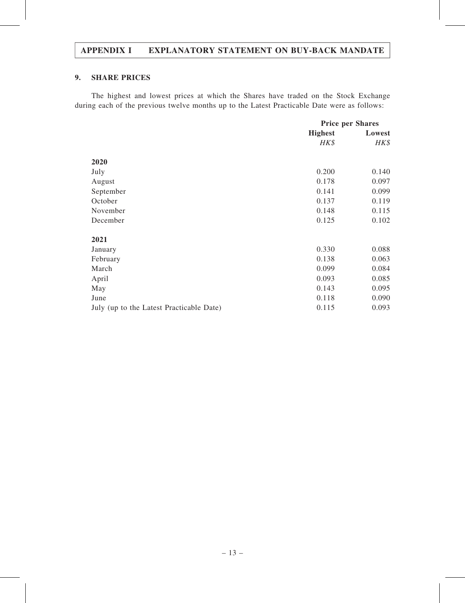### 9. SHARE PRICES

The highest and lowest prices at which the Shares have traded on the Stock Exchange during each of the previous twelve months up to the Latest Practicable Date were as follows:

|                                          | <b>Price per Shares</b> |        |
|------------------------------------------|-------------------------|--------|
|                                          | <b>Highest</b>          | Lowest |
|                                          | HK\$                    | HK\$   |
| 2020                                     |                         |        |
| July                                     | 0.200                   | 0.140  |
|                                          |                         |        |
| August                                   | 0.178                   | 0.097  |
| September                                | 0.141                   | 0.099  |
| October                                  | 0.137                   | 0.119  |
| November                                 | 0.148                   | 0.115  |
| December                                 | 0.125                   | 0.102  |
| 2021                                     |                         |        |
| January                                  | 0.330                   | 0.088  |
| February                                 | 0.138                   | 0.063  |
| March                                    | 0.099                   | 0.084  |
| April                                    | 0.093                   | 0.085  |
| May                                      | 0.143                   | 0.095  |
| June                                     | 0.118                   | 0.090  |
| July (up to the Latest Practicable Date) | 0.115                   | 0.093  |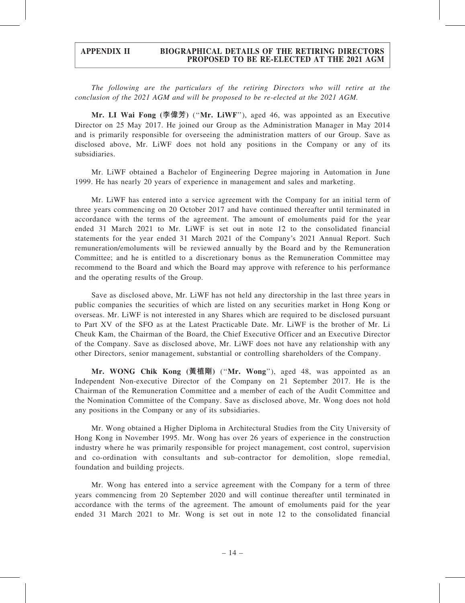#### APPENDIX II BIOGRAPHICAL DETAILS OF THE RETIRING DIRECTORS PROPOSED TO BE RE-ELECTED AT THE 2021 AGM

The following are the particulars of the retiring Directors who will retire at the conclusion of the 2021 AGM and will be proposed to be re-elected at the 2021 AGM.

Mr. LI Wai Fong (李偉芳) (''Mr. LiWF''), aged 46, was appointed as an Executive Director on 25 May 2017. He joined our Group as the Administration Manager in May 2014 and is primarily responsible for overseeing the administration matters of our Group. Save as disclosed above, Mr. LiWF does not hold any positions in the Company or any of its subsidiaries.

Mr. LiWF obtained a Bachelor of Engineering Degree majoring in Automation in June 1999. He has nearly 20 years of experience in management and sales and marketing.

Mr. LiWF has entered into a service agreement with the Company for an initial term of three years commencing on 20 October 2017 and have continued thereafter until terminated in accordance with the terms of the agreement. The amount of emoluments paid for the year ended 31 March 2021 to Mr. LiWF is set out in note 12 to the consolidated financial statements for the year ended 31 March 2021 of the Company's 2021 Annual Report. Such remuneration/emoluments will be reviewed annually by the Board and by the Remuneration Committee; and he is entitled to a discretionary bonus as the Remuneration Committee may recommend to the Board and which the Board may approve with reference to his performance and the operating results of the Group.

Save as disclosed above, Mr. LiWF has not held any directorship in the last three years in public companies the securities of which are listed on any securities market in Hong Kong or overseas. Mr. LiWF is not interested in any Shares which are required to be disclosed pursuant to Part XV of the SFO as at the Latest Practicable Date. Mr. LiWF is the brother of Mr. Li Cheuk Kam, the Chairman of the Board, the Chief Executive Officer and an Executive Director of the Company. Save as disclosed above, Mr. LiWF does not have any relationship with any other Directors, senior management, substantial or controlling shareholders of the Company.

Mr. WONG Chik Kong (黃植剛) (''Mr. Wong''), aged 48, was appointed as an Independent Non-executive Director of the Company on 21 September 2017. He is the Chairman of the Remuneration Committee and a member of each of the Audit Committee and the Nomination Committee of the Company. Save as disclosed above, Mr. Wong does not hold any positions in the Company or any of its subsidiaries.

Mr. Wong obtained a Higher Diploma in Architectural Studies from the City University of Hong Kong in November 1995. Mr. Wong has over 26 years of experience in the construction industry where he was primarily responsible for project management, cost control, supervision and co-ordination with consultants and sub-contractor for demolition, slope remedial, foundation and building projects.

Mr. Wong has entered into a service agreement with the Company for a term of three years commencing from 20 September 2020 and will continue thereafter until terminated in accordance with the terms of the agreement. The amount of emoluments paid for the year ended 31 March 2021 to Mr. Wong is set out in note 12 to the consolidated financial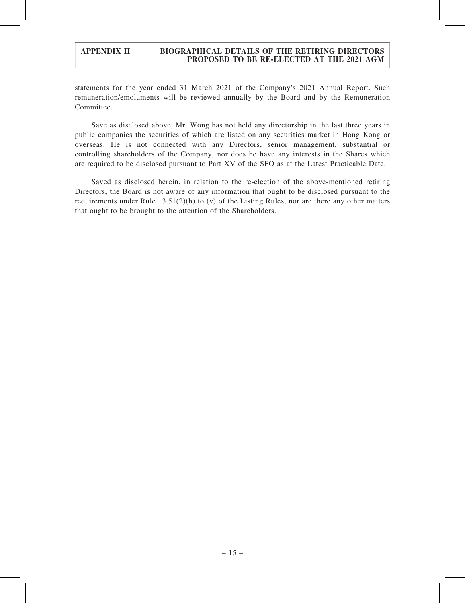### APPENDIX II BIOGRAPHICAL DETAILS OF THE RETIRING DIRECTORS PROPOSED TO BE RE-ELECTED AT THE 2021 AGM

statements for the year ended 31 March 2021 of the Company's 2021 Annual Report. Such remuneration/emoluments will be reviewed annually by the Board and by the Remuneration Committee.

Save as disclosed above, Mr. Wong has not held any directorship in the last three years in public companies the securities of which are listed on any securities market in Hong Kong or overseas. He is not connected with any Directors, senior management, substantial or controlling shareholders of the Company, nor does he have any interests in the Shares which are required to be disclosed pursuant to Part XV of the SFO as at the Latest Practicable Date.

Saved as disclosed herein, in relation to the re-election of the above-mentioned retiring Directors, the Board is not aware of any information that ought to be disclosed pursuant to the requirements under Rule 13.51(2)(h) to (v) of the Listing Rules, nor are there any other matters that ought to be brought to the attention of the Shareholders.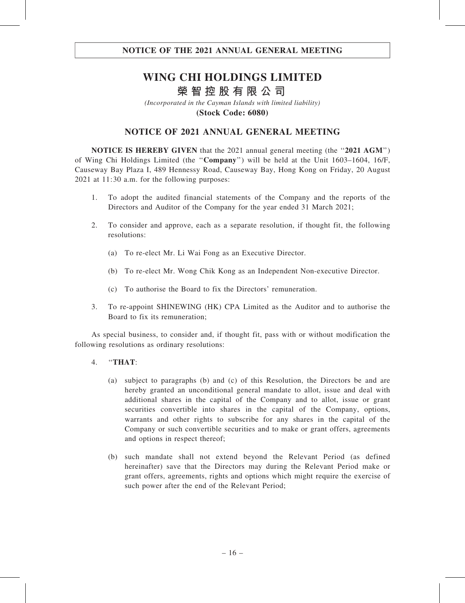# **WING CHI HOLDINGS LIMITED 榮智控股有限公司**

*(Incorporated in the Cayman Islands with limited liability)* **(Stock Code: 6080)**

## NOTICE OF 2021 ANNUAL GENERAL MEETING

NOTICE IS HEREBY GIVEN that the 2021 annual general meeting (the "2021 AGM") of Wing Chi Holdings Limited (the ''Company'') will be held at the Unit 1603–1604, 16/F, Causeway Bay Plaza I, 489 Hennessy Road, Causeway Bay, Hong Kong on Friday, 20 August 2021 at 11:30 a.m. for the following purposes:

- 1. To adopt the audited financial statements of the Company and the reports of the Directors and Auditor of the Company for the year ended 31 March 2021;
- 2. To consider and approve, each as a separate resolution, if thought fit, the following resolutions:
	- (a) To re-elect Mr. Li Wai Fong as an Executive Director.
	- (b) To re-elect Mr. Wong Chik Kong as an Independent Non-executive Director.
	- (c) To authorise the Board to fix the Directors' remuneration.
- 3. To re-appoint SHINEWING (HK) CPA Limited as the Auditor and to authorise the Board to fix its remuneration;

As special business, to consider and, if thought fit, pass with or without modification the following resolutions as ordinary resolutions:

- 4. ''THAT:
	- (a) subject to paragraphs (b) and (c) of this Resolution, the Directors be and are hereby granted an unconditional general mandate to allot, issue and deal with additional shares in the capital of the Company and to allot, issue or grant securities convertible into shares in the capital of the Company, options, warrants and other rights to subscribe for any shares in the capital of the Company or such convertible securities and to make or grant offers, agreements and options in respect thereof;
	- (b) such mandate shall not extend beyond the Relevant Period (as defined hereinafter) save that the Directors may during the Relevant Period make or grant offers, agreements, rights and options which might require the exercise of such power after the end of the Relevant Period;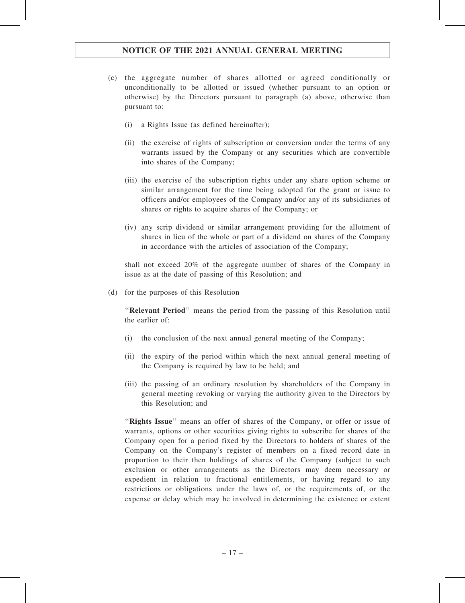- (c) the aggregate number of shares allotted or agreed conditionally or unconditionally to be allotted or issued (whether pursuant to an option or otherwise) by the Directors pursuant to paragraph (a) above, otherwise than pursuant to:
	- (i) a Rights Issue (as defined hereinafter);
	- (ii) the exercise of rights of subscription or conversion under the terms of any warrants issued by the Company or any securities which are convertible into shares of the Company;
	- (iii) the exercise of the subscription rights under any share option scheme or similar arrangement for the time being adopted for the grant or issue to officers and/or employees of the Company and/or any of its subsidiaries of shares or rights to acquire shares of the Company; or
	- (iv) any scrip dividend or similar arrangement providing for the allotment of shares in lieu of the whole or part of a dividend on shares of the Company in accordance with the articles of association of the Company;

shall not exceed 20% of the aggregate number of shares of the Company in issue as at the date of passing of this Resolution; and

(d) for the purposes of this Resolution

''Relevant Period'' means the period from the passing of this Resolution until the earlier of:

- (i) the conclusion of the next annual general meeting of the Company;
- (ii) the expiry of the period within which the next annual general meeting of the Company is required by law to be held; and
- (iii) the passing of an ordinary resolution by shareholders of the Company in general meeting revoking or varying the authority given to the Directors by this Resolution; and

"Rights Issue" means an offer of shares of the Company, or offer or issue of warrants, options or other securities giving rights to subscribe for shares of the Company open for a period fixed by the Directors to holders of shares of the Company on the Company's register of members on a fixed record date in proportion to their then holdings of shares of the Company (subject to such exclusion or other arrangements as the Directors may deem necessary or expedient in relation to fractional entitlements, or having regard to any restrictions or obligations under the laws of, or the requirements of, or the expense or delay which may be involved in determining the existence or extent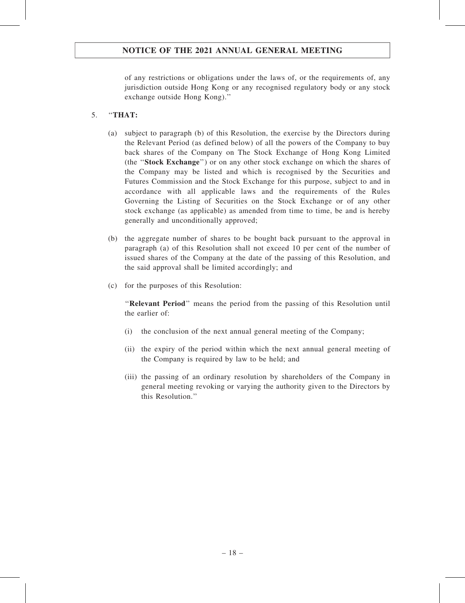of any restrictions or obligations under the laws of, or the requirements of, any jurisdiction outside Hong Kong or any recognised regulatory body or any stock exchange outside Hong Kong).''

### 5. ''THAT:

- (a) subject to paragraph (b) of this Resolution, the exercise by the Directors during the Relevant Period (as defined below) of all the powers of the Company to buy back shares of the Company on The Stock Exchange of Hong Kong Limited (the ''Stock Exchange'') or on any other stock exchange on which the shares of the Company may be listed and which is recognised by the Securities and Futures Commission and the Stock Exchange for this purpose, subject to and in accordance with all applicable laws and the requirements of the Rules Governing the Listing of Securities on the Stock Exchange or of any other stock exchange (as applicable) as amended from time to time, be and is hereby generally and unconditionally approved;
- (b) the aggregate number of shares to be bought back pursuant to the approval in paragraph (a) of this Resolution shall not exceed 10 per cent of the number of issued shares of the Company at the date of the passing of this Resolution, and the said approval shall be limited accordingly; and
- (c) for the purposes of this Resolution:

''Relevant Period'' means the period from the passing of this Resolution until the earlier of:

- (i) the conclusion of the next annual general meeting of the Company;
- (ii) the expiry of the period within which the next annual general meeting of the Company is required by law to be held; and
- (iii) the passing of an ordinary resolution by shareholders of the Company in general meeting revoking or varying the authority given to the Directors by this Resolution.''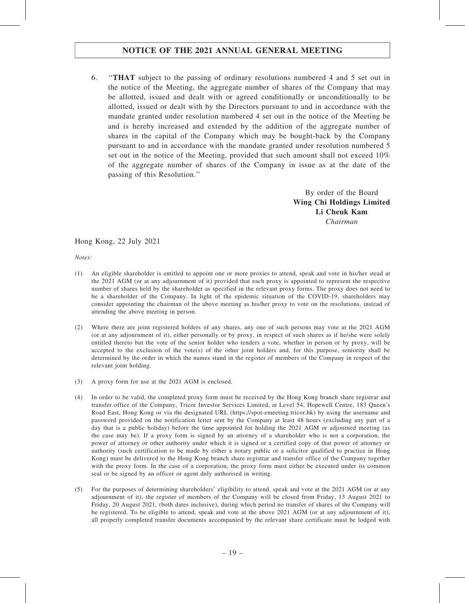6. ''THAT subject to the passing of ordinary resolutions numbered 4 and 5 set out in the notice of the Meeting, the aggregate number of shares of the Company that may be allotted, issued and dealt with or agreed conditionally or unconditionally to be allotted, issued or dealt with by the Directors pursuant to and in accordance with the mandate granted under resolution numbered 4 set out in the notice of the Meeting be and is hereby increased and extended by the addition of the aggregate number of shares in the capital of the Company which may be bought-back by the Company pursuant to and in accordance with the mandate granted under resolution numbered 5 set out in the notice of the Meeting, provided that such amount shall not exceed 10% of the aggregate number of shares of the Company in issue as at the date of the passing of this Resolution.''

> By order of the Board Wing Chi Holdings Limited Li Cheuk Kam Chairman

Hong Kong, 22 July 2021

Notes:

- (1) An eligible shareholder is entitled to appoint one or more proxies to attend, speak and vote in his/her stead at the 2021 AGM (or at any adjournment of it) provided that each proxy is appointed to represent the respective number of shares held by the shareholder as specified in the relevant proxy forms. The proxy does not need to be a shareholder of the Company. In light of the epidemic situation of the COVID-19, shareholders may consider appointing the chairman of the above meeting as his/her proxy to vote on the resolutions, instead of attending the above meeting in person.
- (2) Where there are joint registered holders of any shares, any one of such persons may vote at the 2021 AGM (or at any adjournment of it), either personally or by proxy, in respect of such shares as if he/she were solely entitled thereto but the vote of the senior holder who tenders a vote, whether in person or by proxy, will be accepted to the exclusion of the vote(s) of the other joint holders and, for this purpose, seniority shall be determined by the order in which the names stand in the register of members of the Company in respect of the relevant joint holding.
- (3) A proxy form for use at the 2021 AGM is enclosed.
- (4) In order to be valid, the completed proxy form must be received by the Hong Kong branch share registrar and transfer office of the Company, Tricor Investor Services Limited, at Level 54, Hopewell Centre, 183 Queen's Road East, Hong Kong or via the designated URL (https://spot-emeeting.tricor.hk) by using the username and password provided on the notification letter sent by the Company at least 48 hours (excluding any part of a day that is a public holiday) before the time appointed for holding the 2021 AGM or adjourned meeting (as the case may be). If a proxy form is signed by an attorney of a shareholder who is not a corporation, the power of attorney or other authority under which it is signed or a certified copy of that power of attorney or authority (such certification to be made by either a notary public or a solicitor qualified to practice in Hong Kong) must be delivered to the Hong Kong branch share registrar and transfer office of the Company together with the proxy form. In the case of a corporation, the proxy form must either be executed under its common seal or be signed by an officer or agent duly authorised in writing.
- (5) For the purposes of determining shareholders' eligibility to attend, speak and vote at the 2021 AGM (or at any adjournment of it), the register of members of the Company will be closed from Friday, 13 August 2021 to Friday, 20 August 2021, (both dates inclusive), during which period no transfer of shares of the Company will be registered. To be eligible to attend, speak and vote at the above 2021 AGM (or at any adjournment of it), all properly completed transfer documents accompanied by the relevant share certificate must be lodged with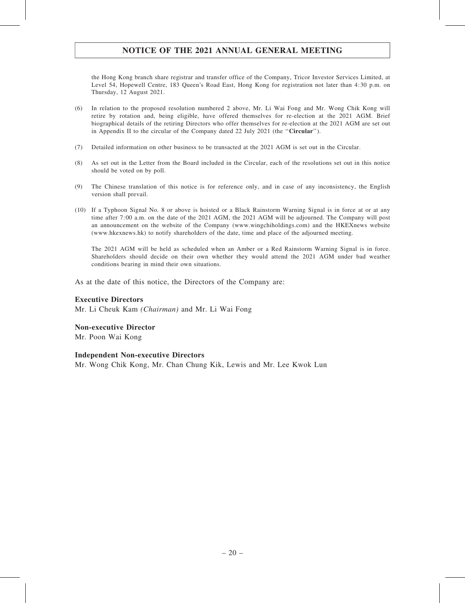the Hong Kong branch share registrar and transfer office of the Company, Tricor Investor Services Limited, at Level 54, Hopewell Centre, 183 Queen's Road East, Hong Kong for registration not later than 4:30 p.m. on Thursday, 12 August 2021.

- (6) In relation to the proposed resolution numbered 2 above, Mr. Li Wai Fong and Mr. Wong Chik Kong will retire by rotation and, being eligible, have offered themselves for re-election at the 2021 AGM. Brief biographical details of the retiring Directors who offer themselves for re-election at the 2021 AGM are set out in Appendix II to the circular of the Company dated 22 July 2021 (the ''Circular'').
- (7) Detailed information on other business to be transacted at the 2021 AGM is set out in the Circular.
- (8) As set out in the Letter from the Board included in the Circular, each of the resolutions set out in this notice should be voted on by poll.
- (9) The Chinese translation of this notice is for reference only, and in case of any inconsistency, the English version shall prevail.
- (10) If a Typhoon Signal No. 8 or above is hoisted or a Black Rainstorm Warning Signal is in force at or at any time after 7:00 a.m. on the date of the 2021 AGM, the 2021 AGM will be adjourned. The Company will post an announcement on the website of the Company (www.wingchiholdings.com) and the HKEXnews website (www.hkexnews.hk) to notify shareholders of the date, time and place of the adjourned meeting.

The 2021 AGM will be held as scheduled when an Amber or a Red Rainstorm Warning Signal is in force. Shareholders should decide on their own whether they would attend the 2021 AGM under bad weather conditions bearing in mind their own situations.

As at the date of this notice, the Directors of the Company are:

#### Executive Directors

Mr. Li Cheuk Kam (Chairman) and Mr. Li Wai Fong

#### Non-executive Director

Mr. Poon Wai Kong

#### Independent Non-executive Directors

Mr. Wong Chik Kong, Mr. Chan Chung Kik, Lewis and Mr. Lee Kwok Lun